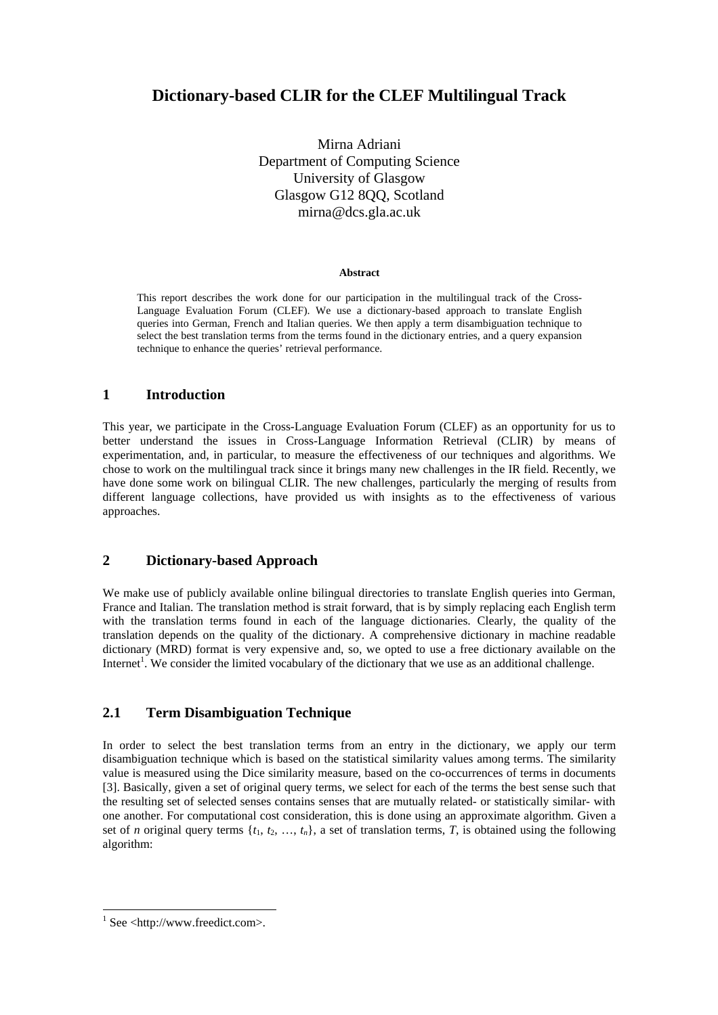# **Dictionary-based CLIR for the CLEF Multilingual Track**

Mirna Adriani Department of Computing Science University of Glasgow Glasgow G12 8QQ, Scotland mirna@dcs.gla.ac.uk

#### **Abstract**

This report describes the work done for our participation in the multilingual track of the Cross-Language Evaluation Forum (CLEF). We use a dictionary-based approach to translate English queries into German, French and Italian queries. We then apply a term disambiguation technique to select the best translation terms from the terms found in the dictionary entries, and a query expansion technique to enhance the queries' retrieval performance.

## **1 Introduction**

This year, we participate in the Cross-Language Evaluation Forum (CLEF) as an opportunity for us to better understand the issues in Cross-Language Information Retrieval (CLIR) by means of experimentation, and, in particular, to measure the effectiveness of our techniques and algorithms. We chose to work on the multilingual track since it brings many new challenges in the IR field. Recently, we have done some work on bilingual CLIR. The new challenges, particularly the merging of results from different language collections, have provided us with insights as to the effectiveness of various approaches.

## **2 Dictionary-based Approach**

We make use of publicly available online bilingual directories to translate English queries into German, France and Italian. The translation method is strait forward, that is by simply replacing each English term with the translation terms found in each of the language dictionaries. Clearly, the quality of the translation depends on the quality of the dictionary. A comprehensive dictionary in machine readable dictionary (MRD) format is very expensive and, so, we opted to use a free dictionary available on the Internet<sup>1</sup>. We consider the limited vocabulary of the dictionary that we use as an additional challenge.

## **2.1 Term Disambiguation Technique**

In order to select the best translation terms from an entry in the dictionary, we apply our term disambiguation technique which is based on the statistical similarity values among terms. The similarity value is measured using the Dice similarity measure, based on the co-occurrences of terms in documents [3]. Basically, given a set of original query terms, we select for each of the terms the best sense such that the resulting set of selected senses contains senses that are mutually related- or statistically similar- with one another. For computational cost consideration, this is done using an approximate algorithm. Given a set of *n* original query terms  $\{t_1, t_2, \ldots, t_n\}$ , a set of translation terms, *T*, is obtained using the following algorithm:

<sup>&</sup>lt;sup>1</sup> See <http://www.freedict.com>.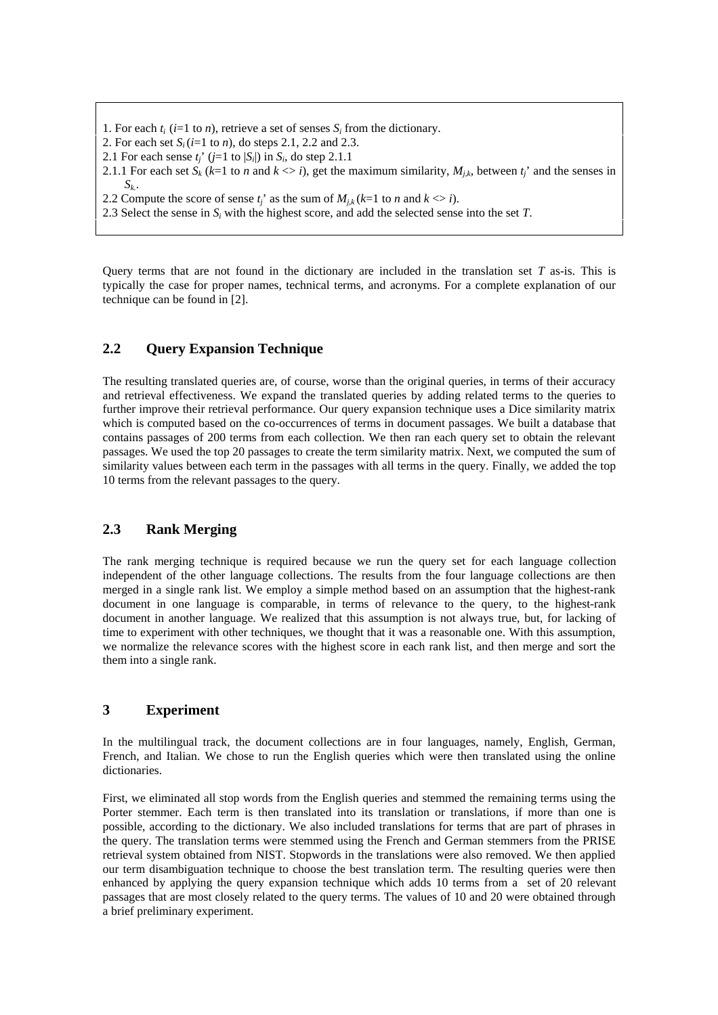- 1. For each  $t_i$  ( $i=1$  to  $n$ ), retrieve a set of senses  $S_i$  from the dictionary.
- 2. For each set *Si* (*i*=1 to *n*), do steps 2.1, 2.2 and 2.3.
- 2.1 For each sense  $t_j$ ' ( $j=1$  to  $|S_i|$ ) in  $S_i$ , do step 2.1.1
- 2.1.1 For each set  $S_k$  ( $k=1$  to *n* and  $k \leq i$ ), get the maximum similarity,  $M_{j,k}$ , between  $t_j$ ' and the senses in *Sk.*.
- 2.2 Compute the score of sense  $t_i$ ' as the sum of  $M_{i,k}$  ( $k=1$  to *n* and  $k \le i$ ).
- 2.3 Select the sense in *Si* with the highest score, and add the selected sense into the set *T*.

Query terms that are not found in the dictionary are included in the translation set *T* as-is. This is typically the case for proper names, technical terms, and acronyms. For a complete explanation of our technique can be found in [2].

## **2.2 Query Expansion Technique**

The resulting translated queries are, of course, worse than the original queries, in terms of their accuracy and retrieval effectiveness. We expand the translated queries by adding related terms to the queries to further improve their retrieval performance. Our query expansion technique uses a Dice similarity matrix which is computed based on the co-occurrences of terms in document passages. We built a database that contains passages of 200 terms from each collection. We then ran each query set to obtain the relevant passages. We used the top 20 passages to create the term similarity matrix. Next, we computed the sum of similarity values between each term in the passages with all terms in the query. Finally, we added the top 10 terms from the relevant passages to the query.

## **2.3 Rank Merging**

The rank merging technique is required because we run the query set for each language collection independent of the other language collections. The results from the four language collections are then merged in a single rank list. We employ a simple method based on an assumption that the highest-rank document in one language is comparable, in terms of relevance to the query, to the highest-rank document in another language. We realized that this assumption is not always true, but, for lacking of time to experiment with other techniques, we thought that it was a reasonable one. With this assumption, we normalize the relevance scores with the highest score in each rank list, and then merge and sort the them into a single rank.

## **3 Experiment**

In the multilingual track, the document collections are in four languages, namely, English, German, French, and Italian. We chose to run the English queries which were then translated using the online dictionaries.

First, we eliminated all stop words from the English queries and stemmed the remaining terms using the Porter stemmer. Each term is then translated into its translation or translations, if more than one is possible, according to the dictionary. We also included translations for terms that are part of phrases in the query. The translation terms were stemmed using the French and German stemmers from the PRISE retrieval system obtained from NIST. Stopwords in the translations were also removed. We then applied our term disambiguation technique to choose the best translation term. The resulting queries were then enhanced by applying the query expansion technique which adds 10 terms from a set of 20 relevant passages that are most closely related to the query terms. The values of 10 and 20 were obtained through a brief preliminary experiment.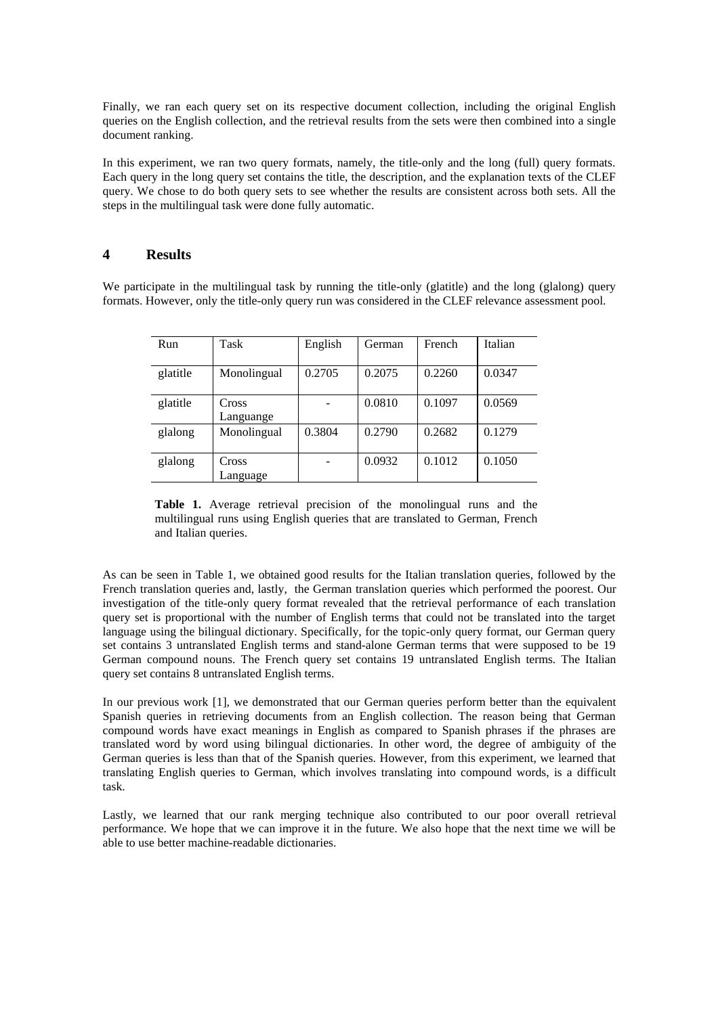Finally, we ran each query set on its respective document collection, including the original English queries on the English collection, and the retrieval results from the sets were then combined into a single document ranking.

In this experiment, we ran two query formats, namely, the title-only and the long (full) query formats. Each query in the long query set contains the title, the description, and the explanation texts of the CLEF query. We chose to do both query sets to see whether the results are consistent across both sets. All the steps in the multilingual task were done fully automatic.

#### **4 Results**

We participate in the multilingual task by running the title-only (glatitle) and the long (glalong) query formats. However, only the title-only query run was considered in the CLEF relevance assessment pool.

| Run      | Task               | English | German | French | Italian |
|----------|--------------------|---------|--------|--------|---------|
| glatitle | Monolingual        | 0.2705  | 0.2075 | 0.2260 | 0.0347  |
| glatitle | Cross<br>Languange |         | 0.0810 | 0.1097 | 0.0569  |
| glalong  | Monolingual        | 0.3804  | 0.2790 | 0.2682 | 0.1279  |
| glalong  | Cross<br>Language  |         | 0.0932 | 0.1012 | 0.1050  |

**Table 1.** Average retrieval precision of the monolingual runs and the multilingual runs using English queries that are translated to German, French and Italian queries.

As can be seen in Table 1, we obtained good results for the Italian translation queries, followed by the French translation queries and, lastly, the German translation queries which performed the poorest. Our investigation of the title-only query format revealed that the retrieval performance of each translation query set is proportional with the number of English terms that could not be translated into the target language using the bilingual dictionary. Specifically, for the topic-only query format, our German query set contains 3 untranslated English terms and stand-alone German terms that were supposed to be 19 German compound nouns. The French query set contains 19 untranslated English terms. The Italian query set contains 8 untranslated English terms.

In our previous work [1], we demonstrated that our German queries perform better than the equivalent Spanish queries in retrieving documents from an English collection. The reason being that German compound words have exact meanings in English as compared to Spanish phrases if the phrases are translated word by word using bilingual dictionaries. In other word, the degree of ambiguity of the German queries is less than that of the Spanish queries. However, from this experiment, we learned that translating English queries to German, which involves translating into compound words, is a difficult task.

Lastly, we learned that our rank merging technique also contributed to our poor overall retrieval performance. We hope that we can improve it in the future. We also hope that the next time we will be able to use better machine-readable dictionaries.